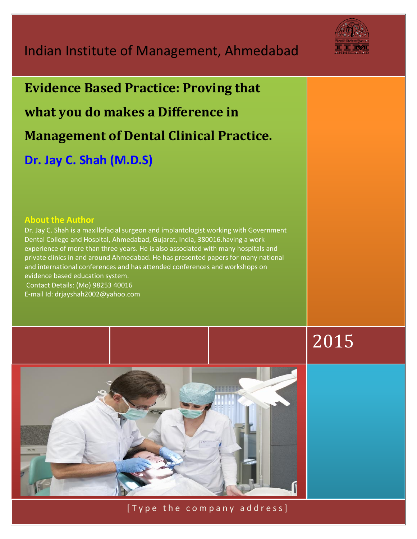# Indian Institute of Management, Ahmedabad



# **Evidence Based Practice: Proving that what you do makes a Difference in Management of Dental Clinical Practice. Dr. Jay C. Shah (M.D.S)**

#### **About the Author**

Dr. Jay C. Shah is a maxillofacial surgeon and implantologist working with Government Dental College and Hospital, Ahmedabad, Gujarat, India, 380016.having a work experience of more than three years. He is also associated with many hospitals and private clinics in and around Ahmedabad. He has presented papers for many national and international conferences and has attended conferences and workshops on evidence based education system.

Contact Details: (Mo) 98253 40016 E-mail Id: drjayshah2002@yahoo.com



[ Type the company address]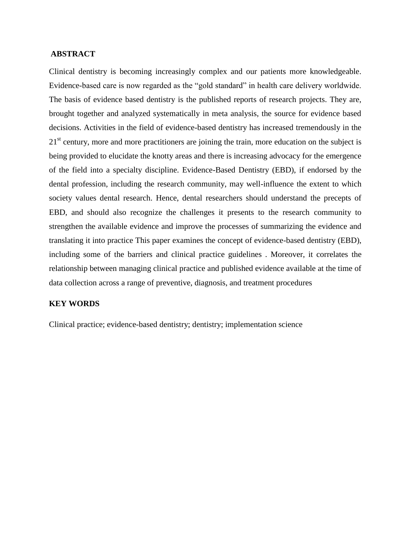#### **ABSTRACT**

Clinical dentistry is becoming increasingly complex and our patients more knowledgeable. Evidence-based care is now regarded as the "gold standard" in health care delivery worldwide. The basis of evidence based dentistry is the published reports of research projects. They are, brought together and analyzed systematically in meta analysis, the source for evidence based decisions. Activities in the field of evidence-based dentistry has increased tremendously in the 21<sup>st</sup> century, more and more practitioners are joining the train, more education on the subject is being provided to elucidate the knotty areas and there is increasing advocacy for the emergence of the field into a specialty discipline. Evidence-Based Dentistry (EBD), if endorsed by the dental profession, including the research community, may well-influence the extent to which society values dental research. Hence, dental researchers should understand the precepts of EBD, and should also recognize the challenges it presents to the research community to strengthen the available evidence and improve the processes of summarizing the evidence and translating it into practice This paper examines the concept of evidence-based dentistry (EBD), including some of the barriers and clinical practice guidelines . Moreover, it correlates the relationship between managing clinical practice and published evidence available at the time of data collection across a range of preventive, diagnosis, and treatment procedures

### **KEY WORDS**

Clinical practice; evidence-based dentistry; dentistry; implementation science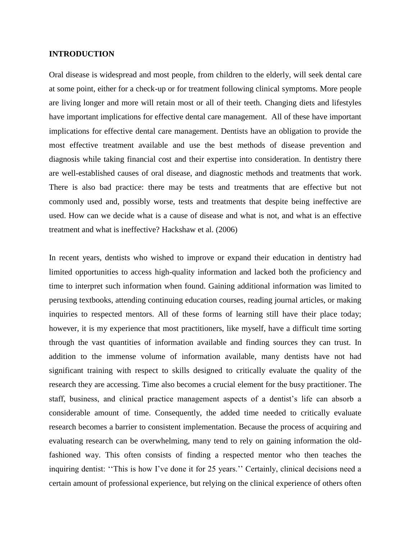#### **INTRODUCTION**

Oral disease is widespread and most people, from children to the elderly, will seek dental care at some point, either for a check-up or for treatment following clinical symptoms. More people are living longer and more will retain most or all of their teeth. Changing diets and lifestyles have important implications for effective dental care management. All of these have important implications for effective dental care management. Dentists have an obligation to provide the most effective treatment available and use the best methods of disease prevention and diagnosis while taking financial cost and their expertise into consideration. In dentistry there are well-established causes of oral disease, and diagnostic methods and treatments that work. There is also bad practice: there may be tests and treatments that are effective but not commonly used and, possibly worse, tests and treatments that despite being ineffective are used. How can we decide what is a cause of disease and what is not, and what is an effective treatment and what is ineffective? Hackshaw et al. (2006)

In recent years, dentists who wished to improve or expand their education in dentistry had limited opportunities to access high-quality information and lacked both the proficiency and time to interpret such information when found. Gaining additional information was limited to perusing textbooks, attending continuing education courses, reading journal articles, or making inquiries to respected mentors. All of these forms of learning still have their place today; however, it is my experience that most practitioners, like myself, have a difficult time sorting through the vast quantities of information available and finding sources they can trust. In addition to the immense volume of information available, many dentists have not had significant training with respect to skills designed to critically evaluate the quality of the research they are accessing. Time also becomes a crucial element for the busy practitioner. The staff, business, and clinical practice management aspects of a dentist's life can absorb a considerable amount of time. Consequently, the added time needed to critically evaluate research becomes a barrier to consistent implementation. Because the process of acquiring and evaluating research can be overwhelming, many tend to rely on gaining information the oldfashioned way. This often consists of finding a respected mentor who then teaches the inquiring dentist: "This is how I've done it for 25 years." Certainly, clinical decisions need a certain amount of professional experience, but relying on the clinical experience of others often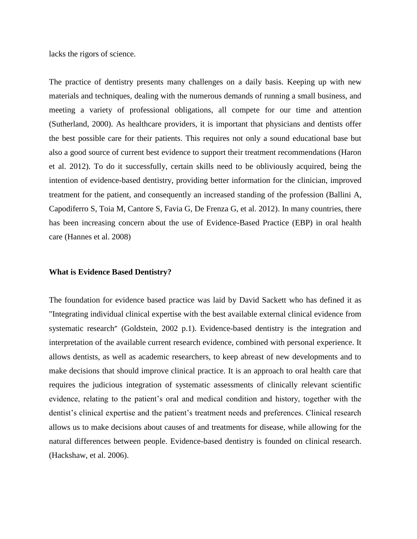lacks the rigors of science.

The practice of dentistry presents many challenges on a daily basis. Keeping up with new materials and techniques, dealing with the numerous demands of running a small business, and meeting a variety of professional obligations, all compete for our time and attention (Sutherland, 2000). As healthcare providers, it is important that physicians and dentists offer the best possible care for their patients. This requires not only a sound educational base but also a good source of current best evidence to support their treatment recommendations (Haron et al. 2012). To do it successfully, certain skills need to be obliviously acquired, being the intention of evidence-based dentistry, providing better information for the clinician, improved treatment for the patient, and consequently an increased standing of the profession (Ballini A, Capodiferro S, Toia M, Cantore S, Favia G, De Frenza G, et al. 2012). In many countries, there has been increasing concern about the use of Evidence-Based Practice (EBP) in oral health care (Hannes et al. 2008)

#### **What is Evidence Based Dentistry?**

The foundation for evidence based practice was laid by David Sackett who has defined it as "Integrating individual clinical expertise with the best available external clinical evidence from systematic research" (Goldstein, 2002 p.1). Evidence-based dentistry is the integration and interpretation of the available current research evidence, combined with personal experience. It allows dentists, as well as academic researchers, to keep abreast of new developments and to make decisions that should improve clinical practice. It is an approach to oral health care that requires the judicious integration of systematic assessments of clinically relevant scientific evidence, relating to the patient's oral and medical condition and history, together with the dentist's clinical expertise and the patient's treatment needs and preferences. Clinical research allows us to make decisions about causes of and treatments for disease, while allowing for the natural differences between people. Evidence-based dentistry is founded on clinical research. (Hackshaw, et al. 2006).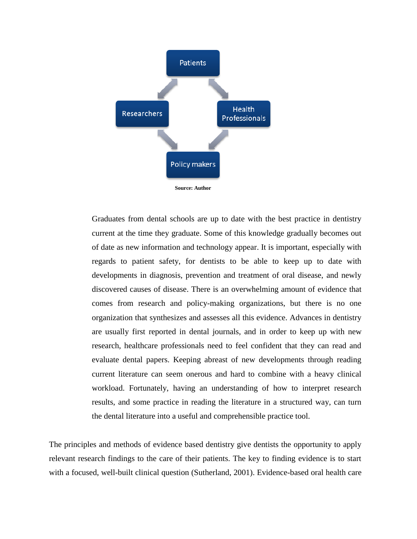

Graduates from dental schools are up to date with the best practice in dentistry current at the time they graduate. Some of this knowledge gradually becomes out of date as new information and technology appear. It is important, especially with regards to patient safety, for dentists to be able to keep up to date with developments in diagnosis, prevention and treatment of oral disease, and newly discovered causes of disease. There is an overwhelming amount of evidence that comes from research and policy-making organizations, but there is no one organization that synthesizes and assesses all this evidence. Advances in dentistry are usually first reported in dental journals, and in order to keep up with new research, healthcare professionals need to feel confident that they can read and evaluate dental papers. Keeping abreast of new developments through reading current literature can seem onerous and hard to combine with a heavy clinical workload. Fortunately, having an understanding of how to interpret research results, and some practice in reading the literature in a structured way, can turn the dental literature into a useful and comprehensible practice tool.

The principles and methods of evidence based dentistry give dentists the opportunity to apply relevant research findings to the care of their patients. The key to finding evidence is to start with a focused, well-built clinical question (Sutherland, 2001). Evidence-based oral health care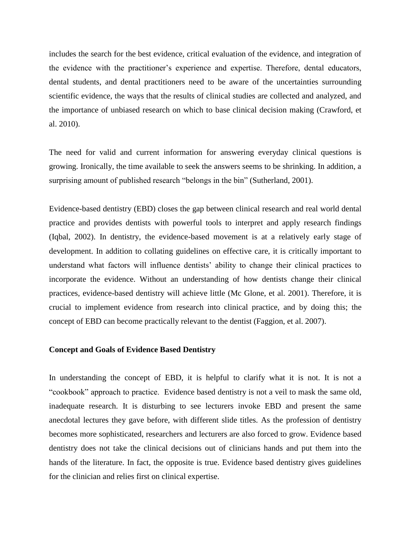includes the search for the best evidence, critical evaluation of the evidence, and integration of the evidence with the practitioner's experience and expertise. Therefore, dental educators, dental students, and dental practitioners need to be aware of the uncertainties surrounding scientific evidence, the ways that the results of clinical studies are collected and analyzed, and the importance of unbiased research on which to base clinical decision making (Crawford, et al. 2010).

The need for valid and current information for answering everyday clinical questions is growing. Ironically, the time available to seek the answers seems to be shrinking. In addition, a surprising amount of published research "belongs in the bin" (Sutherland, 2001).

Evidence-based dentistry (EBD) closes the gap between clinical research and real world dental practice and provides dentists with powerful tools to interpret and apply research findings (Iqbal, 2002). In dentistry, the evidence-based movement is at a relatively early stage of development. In addition to collating guidelines on effective care, it is critically important to understand what factors will influence dentists' ability to change their clinical practices to incorporate the evidence. Without an understanding of how dentists change their clinical practices, evidence-based dentistry will achieve little (Mc Glone, et al. 2001). Therefore, it is crucial to implement evidence from research into clinical practice, and by doing this; the concept of EBD can become practically relevant to the dentist (Faggion, et al. 2007).

#### **Concept and Goals of Evidence Based Dentistry**

In understanding the concept of EBD, it is helpful to clarify what it is not. It is not a "cookbook" approach to practice. Evidence based dentistry is not a veil to mask the same old, inadequate research. It is disturbing to see lecturers invoke EBD and present the same anecdotal lectures they gave before, with different slide titles. As the profession of dentistry becomes more sophisticated, researchers and lecturers are also forced to grow. Evidence based dentistry does not take the clinical decisions out of clinicians hands and put them into the hands of the literature. In fact, the opposite is true. Evidence based dentistry gives guidelines for the clinician and relies first on clinical expertise.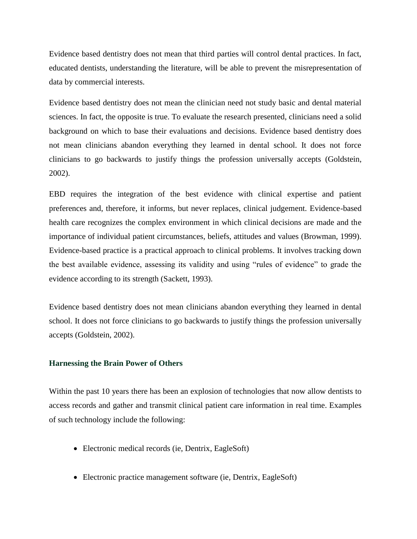Evidence based dentistry does not mean that third parties will control dental practices. In fact, educated dentists, understanding the literature, will be able to prevent the misrepresentation of data by commercial interests.

Evidence based dentistry does not mean the clinician need not study basic and dental material sciences. In fact, the opposite is true. To evaluate the research presented, clinicians need a solid background on which to base their evaluations and decisions. Evidence based dentistry does not mean clinicians abandon everything they learned in dental school. It does not force clinicians to go backwards to justify things the profession universally accepts (Goldstein, 2002).

EBD requires the integration of the best evidence with clinical expertise and patient preferences and, therefore, it informs, but never replaces, clinical judgement. Evidence-based health care recognizes the complex environment in which clinical decisions are made and the importance of individual patient circumstances, beliefs, attitudes and values (Browman, 1999). Evidence-based practice is a practical approach to clinical problems. It involves tracking down the best available evidence, assessing its validity and using "rules of evidence" to grade the evidence according to its strength (Sackett, 1993).

Evidence based dentistry does not mean clinicians abandon everything they learned in dental school. It does not force clinicians to go backwards to justify things the profession universally accepts (Goldstein, 2002).

#### **Harnessing the Brain Power of Others**

Within the past 10 years there has been an explosion of technologies that now allow dentists to access records and gather and transmit clinical patient care information in real time. Examples of such technology include the following:

- Electronic medical records (ie, Dentrix, EagleSoft)
- Electronic practice management software (ie, Dentrix, EagleSoft)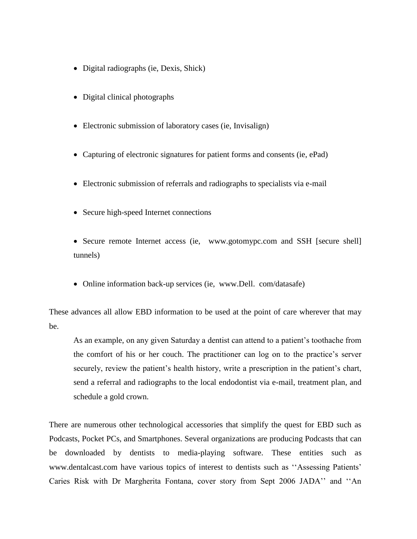- Digital radiographs (ie, Dexis, Shick)
- Digital clinical photographs
- Electronic submission of laboratory cases (ie, Invisalign)
- Capturing of electronic signatures for patient forms and consents (ie, ePad)
- Electronic submission of referrals and radiographs to specialists via e-mail
- Secure high-speed Internet connections
- Secure remote Internet access (ie, [www.gotomypc.com](http://www.gotomypc.com/) and SSH [secure shell] tunnels)
- Online information back-up services (ie, [www.Dell. com/datasafe](http://www.dell.com/datasafe))

These advances all allow EBD information to be used at the point of care wherever that may be.

As an example, on any given Saturday a dentist can attend to a patient's toothache from the comfort of his or her couch. The practitioner can log on to the practice's server securely, review the patient's health history, write a prescription in the patient's chart, send a referral and radiographs to the local endodontist via e-mail, treatment plan, and schedule a gold crown.

There are numerous other technological accessories that simplify the quest for EBD such as Podcasts, Pocket PCs, and Smartphones. Several organizations are producing Podcasts that can be downloaded by dentists to media-playing software. These entities such as www.dentalcast.com have various topics of interest to dentists such as "Assessing Patients' Caries Risk with Dr Margherita Fontana, cover story from Sept 2006 JADA" and "An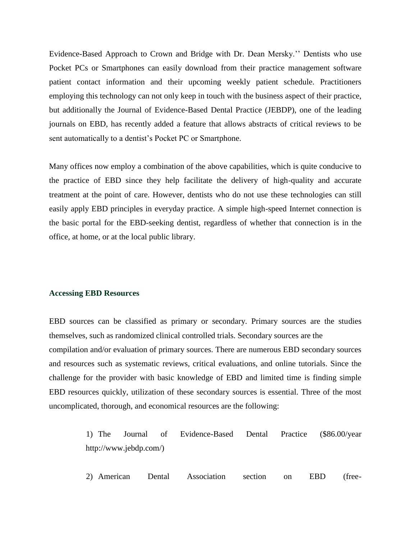Evidence-Based Approach to Crown and Bridge with Dr. Dean Mersky.'' Dentists who use Pocket PCs or Smartphones can easily download from their practice management software patient contact information and their upcoming weekly patient schedule. Practitioners employing this technology can not only keep in touch with the business aspect of their practice, but additionally the Journal of Evidence-Based Dental Practice (JEBDP), one of the leading journals on EBD, has recently added a feature that allows abstracts of critical reviews to be sent automatically to a dentist's Pocket PC or Smartphone.

Many offices now employ a combination of the above capabilities, which is quite conducive to the practice of EBD since they help facilitate the delivery of high-quality and accurate treatment at the point of care. However, dentists who do not use these technologies can still easily apply EBD principles in everyday practice. A simple high-speed Internet connection is the basic portal for the EBD-seeking dentist, regardless of whether that connection is in the office, at home, or at the local public library.

#### **Accessing EBD Resources**

EBD sources can be classified as primary or secondary. Primary sources are the studies themselves, such as randomized clinical controlled trials. Secondary sources are the compilation and/or evaluation of primary sources. There are numerous EBD secondary sources and resources such as systematic reviews, critical evaluations, and online tutorials. Since the challenge for the provider with basic knowledge of EBD and limited time is finding simple EBD resources quickly, utilization of these secondary sources is essential. Three of the most uncomplicated, thorough, and economical resources are the following:

> 1) The Journal of Evidence-Based Dental Practice (\$86.00/year <http://www.jebdp.com/>)

> 2) American Dental Association section on EBD (free[-](http://www.ada.org/prof/resources/ebd/index.asp)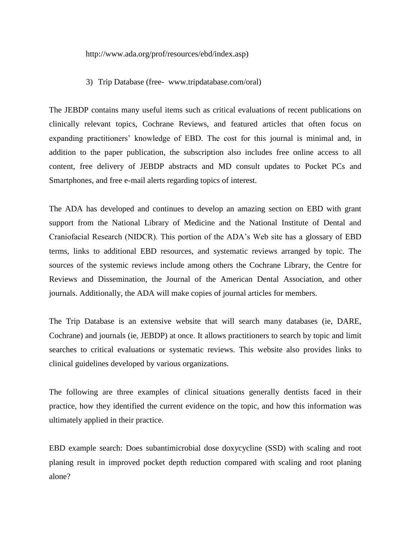http://www.ada.org/prof/resources/ebd/index.asp)

#### 3) Trip Database (free- [www.tripdatabase.com/oral](http://www.tripdatabase.com/oral))

The JEBDP contains many useful items such as critical evaluations of recent publications on clinically relevant topics, Cochrane Reviews, and featured articles that often focus on expanding practitioners' knowledge of EBD. The cost for this journal is minimal and, in addition to the paper publication, the subscription also includes free online access to all content, free delivery of JEBDP abstracts and MD consult updates to Pocket PCs and Smartphones, and free e-mail alerts regarding topics of interest.

The ADA has developed and continues to develop an amazing section on EBD with grant support from the National Library of Medicine and the National Institute of Dental and Craniofacial Research (NIDCR). This portion of the ADA's Web site has a glossary of EBD terms, links to additional EBD resources, and systematic reviews arranged by topic. The sources of the systemic reviews include among others the Cochrane Library, the Centre for Reviews and Dissemination, the Journal of the American Dental Association, and other journals. Additionally, the ADA will make copies of journal articles for members.

The Trip Database is an extensive website that will search many databases (ie, DARE, Cochrane) and journals (ie, JEBDP) at once. It allows practitioners to search by topic and limit searches to critical evaluations or systematic reviews. This website also provides links to clinical guidelines developed by various organizations.

The following are three examples of clinical situations generally dentists faced in their practice, how they identified the current evidence on the topic, and how this information was ultimately applied in their practice.

EBD example search: Does subantimicrobial dose doxycycline (SSD) with scaling and root planing result in improved pocket depth reduction compared with scaling and root planing alone?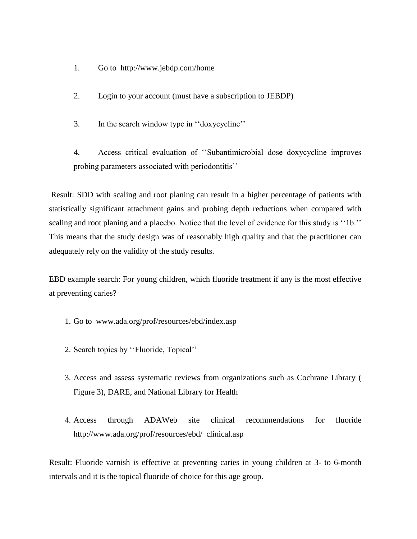- 1. Go to<http://www.jebdp.com/home>
- 2. Login to your account (must have a subscription to JEBDP)
- 3. In the search window type in "doxycycline"

4. Access critical evaluation of "Subantimicrobial dose doxycycline improves probing parameters associated with periodontitis''

Result: SDD with scaling and root planing can result in a higher percentage of patients with statistically significant attachment gains and probing depth reductions when compared with scaling and root planing and a placebo. Notice that the level of evidence for this study is "1b." This means that the study design was of reasonably high quality and that the practitioner can adequately rely on the validity of the study results.

EBD example search: For young children, which fluoride treatment if any is the most effective at preventing caries?

- 1. Go to [www.ada.org/prof/resources/ebd/index.asp](http://www.ada.org/prof/resources/ebd/index.asp)
- 2. Search topics by "Fluoride, Topical"
- 3. Access and assess systematic reviews from organizations such as Cochrane Library ( Figure 3), DARE, and National Library for Health
- 4. Access through ADAWeb site clinical recommendations for fluoride [http://www.ada.org/prof/resources/ebd/ clinical.asp](http://www.ada.org/prof/resources/ebd/clinical.asp)

Result: Fluoride varnish is effective at preventing caries in young children at 3- to 6-month intervals and it is the topical fluoride of choice for this age group.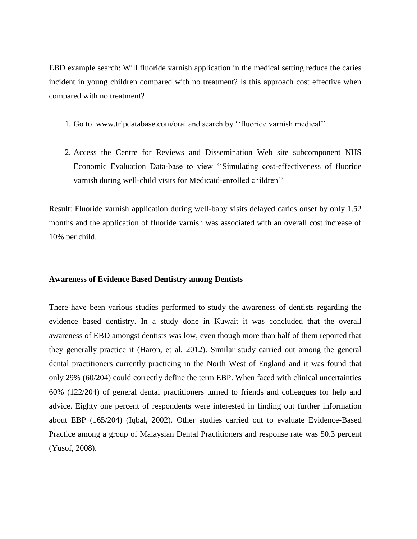EBD example search: Will fluoride varnish application in the medical setting reduce the caries incident in young children compared with no treatment? Is this approach cost effective when compared with no treatment?

- 1. Go to [www.tripdatabase.com/oral](http://www.tripdatabase.com/oral) and search by "fluoride varnish medical"
- 2. Access the Centre for Reviews and Dissemination Web site subcomponent NHS Economic Evaluation Data-base to view "Simulating cost-effectiveness of fluoride varnish during well-child visits for Medicaid-enrolled children''

Result: Fluoride varnish application during well-baby visits delayed caries onset by only 1.52 months and the application of fluoride varnish was associated with an overall cost increase of 10% per child.

#### **Awareness of Evidence Based Dentistry among Dentists**

There have been various studies performed to study the awareness of dentists regarding the evidence based dentistry. In a study done in Kuwait it was concluded that the overall awareness of EBD amongst dentists was low, even though more than half of them reported that they generally practice it (Haron, et al. 2012). Similar study carried out among the general dental practitioners currently practicing in the North West of England and it was found that only 29% (60/204) could correctly define the term EBP. When faced with clinical uncertainties 60% (122/204) of general dental practitioners turned to friends and colleagues for help and advice. Eighty one percent of respondents were interested in finding out further information about EBP (165/204) (Iqbal, 2002). Other studies carried out to evaluate Evidence-Based Practice among a group of Malaysian Dental Practitioners and response rate was 50.3 percent (Yusof, 2008).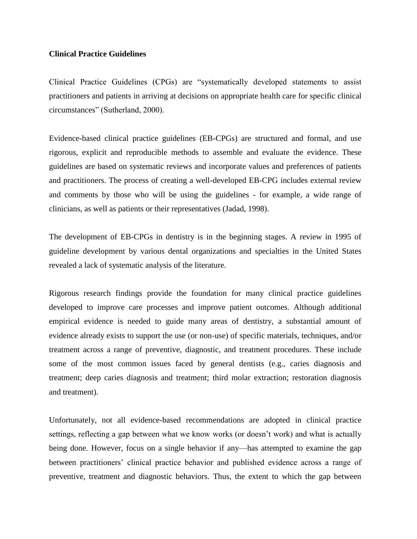#### **Clinical Practice Guidelines**

Clinical Practice Guidelines (CPGs) are "systematically developed statements to assist practitioners and patients in arriving at decisions on appropriate health care for specific clinical circumstances‖ (Sutherland, 2000).

Evidence-based clinical practice guidelines (EB-CPGs) are structured and formal, and use rigorous, explicit and reproducible methods to assemble and evaluate the evidence. These guidelines are based on systematic reviews and incorporate values and preferences of patients and practitioners. The process of creating a well-developed EB-CPG includes external review and comments by those who will be using the guidelines - for example, a wide range of clinicians, as well as patients or their representatives (Jadad, 1998).

The development of EB-CPGs in dentistry is in the beginning stages. A review in 1995 of guideline development by various dental organizations and specialties in the United States revealed a lack of systematic analysis of the literature.

Rigorous research findings provide the foundation for many clinical practice guidelines developed to improve care processes and improve patient outcomes. Although additional empirical evidence is needed to guide many areas of dentistry, a substantial amount of evidence already exists to support the use (or non-use) of specific materials, techniques, and/or treatment across a range of preventive, diagnostic, and treatment procedures. These include some of the most common issues faced by general dentists (e.g., caries diagnosis and treatment; deep caries diagnosis and treatment; third molar extraction; restoration diagnosis and treatment).

Unfortunately, not all evidence-based recommendations are adopted in clinical practice settings, reflecting a gap between what we know works (or doesn't work) and what is actually being done. However, focus on a single behavior if any—has attempted to examine the gap between practitioners' clinical practice behavior and published evidence across a range of preventive, treatment and diagnostic behaviors. Thus, the extent to which the gap between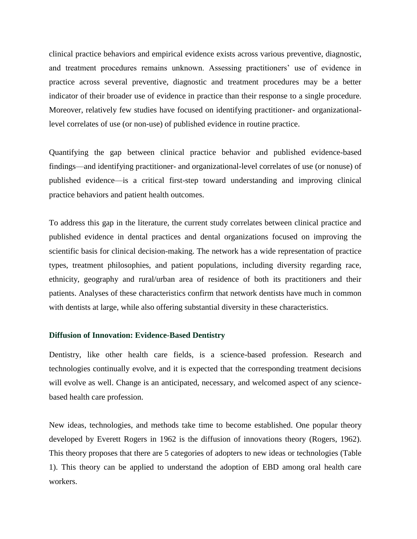clinical practice behaviors and empirical evidence exists across various preventive, diagnostic, and treatment procedures remains unknown. Assessing practitioners' use of evidence in practice across several preventive, diagnostic and treatment procedures may be a better indicator of their broader use of evidence in practice than their response to a single procedure. Moreover, relatively few studies have focused on identifying practitioner- and organizationallevel correlates of use (or non-use) of published evidence in routine practice.

Quantifying the gap between clinical practice behavior and published evidence-based findings—and identifying practitioner- and organizational-level correlates of use (or nonuse) of published evidence—is a critical first-step toward understanding and improving clinical practice behaviors and patient health outcomes.

To address this gap in the literature, the current study correlates between clinical practice and published evidence in dental practices and dental organizations focused on improving the scientific basis for clinical decision-making. The network has a wide representation of practice types, treatment philosophies, and patient populations, including diversity regarding race, ethnicity, geography and rural/urban area of residence of both its practitioners and their patients. Analyses of these characteristics confirm that network dentists have much in common with dentists at large, while also offering substantial diversity in these characteristics.

#### **Diffusion of Innovation: Evidence-Based Dentistry**

Dentistry, like other health care fields, is a science-based profession. Research and technologies continually evolve, and it is expected that the corresponding treatment decisions will evolve as well. Change is an anticipated, necessary, and welcomed aspect of any sciencebased health care profession.

New ideas, technologies, and methods take time to become established. One popular theory developed by Everett Rogers in 1962 is the diffusion of innovations theory (Rogers, 1962). This theory proposes that there are 5 categories of adopters to new ideas or technologies (Table 1). This theory can be applied to understand the adoption of EBD among oral health care workers.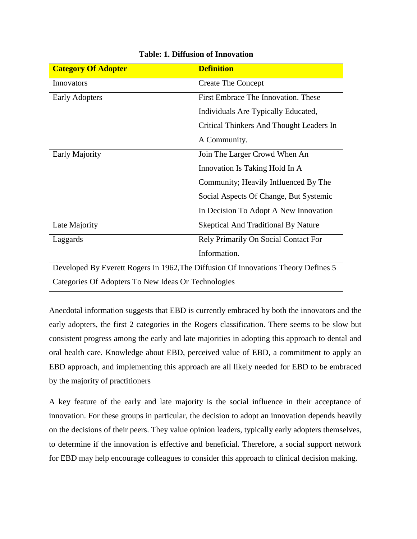| <b>Table: 1. Diffusion of Innovation</b>                                           |                                            |
|------------------------------------------------------------------------------------|--------------------------------------------|
| <b>Category Of Adopter</b>                                                         | <b>Definition</b>                          |
| Innovators                                                                         | <b>Create The Concept</b>                  |
| <b>Early Adopters</b>                                                              | First Embrace The Innovation. These        |
|                                                                                    | Individuals Are Typically Educated,        |
|                                                                                    | Critical Thinkers And Thought Leaders In   |
|                                                                                    | A Community.                               |
| <b>Early Majority</b>                                                              | Join The Larger Crowd When An              |
|                                                                                    | Innovation Is Taking Hold In A             |
|                                                                                    | Community; Heavily Influenced By The       |
|                                                                                    | Social Aspects Of Change, But Systemic     |
|                                                                                    | In Decision To Adopt A New Innovation      |
| Late Majority                                                                      | <b>Skeptical And Traditional By Nature</b> |
| Laggards                                                                           | Rely Primarily On Social Contact For       |
|                                                                                    | Information.                               |
| Developed By Everett Rogers In 1962, The Diffusion Of Innovations Theory Defines 5 |                                            |
| Categories Of Adopters To New Ideas Or Technologies                                |                                            |

Anecdotal information suggests that EBD is currently embraced by both the innovators and the early adopters, the first 2 categories in the Rogers classification. There seems to be slow but consistent progress among the early and late majorities in adopting this approach to dental and oral health care. Knowledge about EBD, perceived value of EBD, a commitment to apply an EBD approach, and implementing this approach are all likely needed for EBD to be embraced by the majority of practitioners

A key feature of the early and late majority is the social influence in their acceptance of innovation. For these groups in particular, the decision to adopt an innovation depends heavily on the decisions of their peers. They value opinion leaders, typically early adopters themselves, to determine if the innovation is effective and beneficial. Therefore, a social support network for EBD may help encourage colleagues to consider this approach to clinical decision making.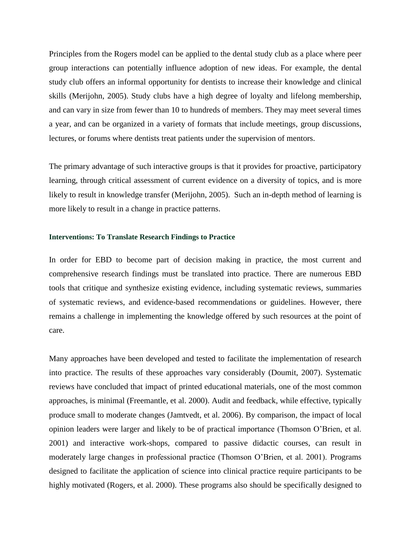Principles from the Rogers model can be applied to the dental study club as a place where peer group interactions can potentially influence adoption of new ideas. For example, the dental study club offers an informal opportunity for dentists to increase their knowledge and clinical skills (Merijohn, 2005). Study clubs have a high degree of loyalty and lifelong membership, and can vary in size from fewer than 10 to hundreds of members. They may meet several times a year, and can be organized in a variety of formats that include meetings, group discussions, lectures, or forums where dentists treat patients under the supervision of mentors.

The primary advantage of such interactive groups is that it provides for proactive, participatory learning, through critical assessment of current evidence on a diversity of topics, and is more likely to result in knowledge transfer (Merijohn, 2005). Such an in-depth method of learning is more likely to result in a change in practice patterns.

#### **Interventions: To Translate Research Findings to Practice**

In order for EBD to become part of decision making in practice, the most current and comprehensive research findings must be translated into practice. There are numerous EBD tools that critique and synthesize existing evidence, including systematic reviews, summaries of systematic reviews, and evidence-based recommendations or guidelines. However, there remains a challenge in implementing the knowledge offered by such resources at the point of care.

Many approaches have been developed and tested to facilitate the implementation of research into practice. The results of these approaches vary considerably (Doumit, 2007). Systematic reviews have concluded that impact of printed educational materials, one of the most common approaches, is minimal (Freemantle, et al. 2000). Audit and feedback, while effective, typically produce small to moderate changes (Jamtvedt, et al. 2006). By comparison, the impact of local opinion leaders were larger and likely to be of practical importance (Thomson O'Brien, et al. 2001) and interactive work-shops, compared to passive didactic courses, can result in moderately large changes in professional practice (Thomson O'Brien, et al. 2001). Programs designed to facilitate the application of science into clinical practice require participants to be highly motivated (Rogers, et al. 2000). These programs also should be specifically designed to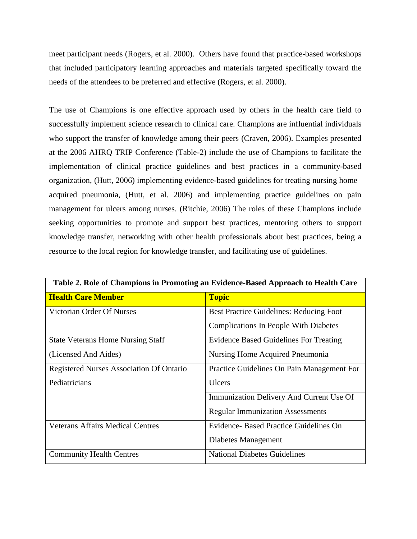meet participant needs (Rogers, et al. 2000). Others have found that practice-based workshops that included participatory learning approaches and materials targeted specifically toward the needs of the attendees to be preferred and effective (Rogers, et al. 2000).

The use of Champions is one effective approach used by others in the health care field to successfully implement science research to clinical care. Champions are influential individuals who support the transfer of knowledge among their peers (Craven, 2006). Examples presented at the 2006 AHRQ TRIP Conference (Table-2) include the use of Champions to facilitate the implementation of clinical practice guidelines and best practices in a community-based organization, (Hutt, 2006) implementing evidence-based guidelines for treating nursing home– acquired pneumonia, (Hutt, et al. 2006) and implementing practice guidelines on pain management for ulcers among nurses. (Ritchie, 2006) The roles of these Champions include seeking opportunities to promote and support best practices, mentoring others to support knowledge transfer, networking with other health professionals about best practices, being a resource to the local region for knowledge transfer, and facilitating use of guidelines.

| Table 2. Role of Champions in Promoting an Evidence-Based Approach to Health Care |                                                |
|-----------------------------------------------------------------------------------|------------------------------------------------|
| <b>Health Care Member</b>                                                         | <b>Topic</b>                                   |
| Victorian Order Of Nurses                                                         | <b>Best Practice Guidelines: Reducing Foot</b> |
|                                                                                   | <b>Complications In People With Diabetes</b>   |
| <b>State Veterans Home Nursing Staff</b>                                          | <b>Evidence Based Guidelines For Treating</b>  |
| (Licensed And Aides)                                                              | Nursing Home Acquired Pneumonia                |
| Registered Nurses Association Of Ontario                                          | Practice Guidelines On Pain Management For     |
| Pediatricians                                                                     | <b>Ulcers</b>                                  |
|                                                                                   | Immunization Delivery And Current Use Of       |
|                                                                                   | <b>Regular Immunization Assessments</b>        |
| <b>Veterans Affairs Medical Centres</b>                                           | Evidence- Based Practice Guidelines On         |
|                                                                                   | Diabetes Management                            |
| <b>Community Health Centres</b>                                                   | <b>National Diabetes Guidelines</b>            |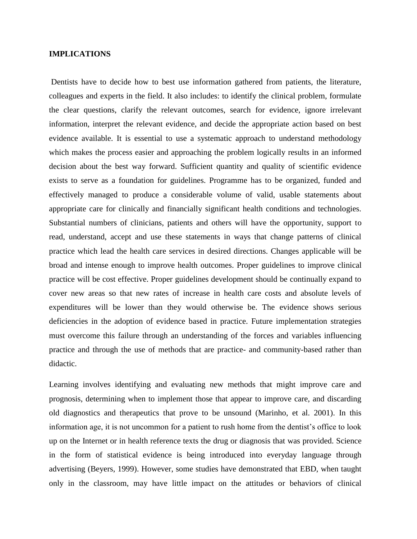#### **IMPLICATIONS**

Dentists have to decide how to best use information gathered from patients, the literature, colleagues and experts in the field. It also includes: to identify the clinical problem, formulate the clear questions, clarify the relevant outcomes, search for evidence, ignore irrelevant information, interpret the relevant evidence, and decide the appropriate action based on best evidence available. It is essential to use a systematic approach to understand methodology which makes the process easier and approaching the problem logically results in an informed decision about the best way forward. Sufficient quantity and quality of scientific evidence exists to serve as a foundation for guidelines. Programme has to be organized, funded and effectively managed to produce a considerable volume of valid, usable statements about appropriate care for clinically and financially significant health conditions and technologies. Substantial numbers of clinicians, patients and others will have the opportunity, support to read, understand, accept and use these statements in ways that change patterns of clinical practice which lead the health care services in desired directions. Changes applicable will be broad and intense enough to improve health outcomes. Proper guidelines to improve clinical practice will be cost effective. Proper guidelines development should be continually expand to cover new areas so that new rates of increase in health care costs and absolute levels of expenditures will be lower than they would otherwise be. The evidence shows serious deficiencies in the adoption of evidence based in practice. Future implementation strategies must overcome this failure through an understanding of the forces and variables influencing practice and through the use of methods that are practice- and community-based rather than didactic.

Learning involves identifying and evaluating new methods that might improve care and prognosis, determining when to implement those that appear to improve care, and discarding old diagnostics and therapeutics that prove to be unsound (Marinho, et al. 2001). In this information age, it is not uncommon for a patient to rush home from the dentist's office to look up on the Internet or in health reference texts the drug or diagnosis that was provided. Science in the form of statistical evidence is being introduced into everyday language through advertising (Beyers, 1999). However, some studies have demonstrated that EBD, when taught only in the classroom, may have little impact on the attitudes or behaviors of clinical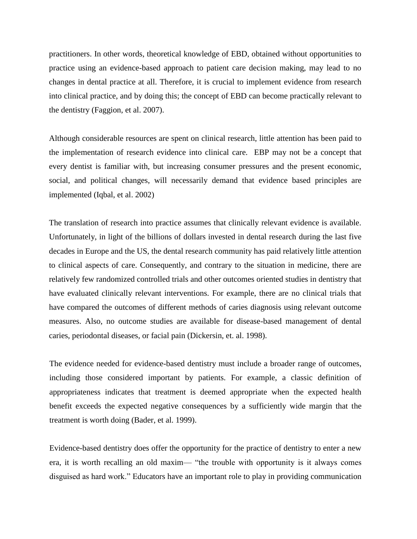practitioners. In other words, theoretical knowledge of EBD, obtained without opportunities to practice using an evidence-based approach to patient care decision making, may lead to no changes in dental practice at all. Therefore, it is crucial to implement evidence from research into clinical practice, and by doing this; the concept of EBD can become practically relevant to the dentistry (Faggion, et al. 2007).

Although considerable resources are spent on clinical research, little attention has been paid to the implementation of research evidence into clinical care. EBP may not be a concept that every dentist is familiar with, but increasing consumer pressures and the present economic, social, and political changes, will necessarily demand that evidence based principles are implemented (Iqbal, et al. 2002)

The translation of research into practice assumes that clinically relevant evidence is available. Unfortunately, in light of the billions of dollars invested in dental research during the last five decades in Europe and the US, the dental research community has paid relatively little attention to clinical aspects of care. Consequently, and contrary to the situation in medicine, there are relatively few randomized controlled trials and other outcomes oriented studies in dentistry that have evaluated clinically relevant interventions. For example, there are no clinical trials that have compared the outcomes of different methods of caries diagnosis using relevant outcome measures. Also, no outcome studies are available for disease-based management of dental caries, periodontal diseases, or facial pain (Dickersin, et. al. 1998).

The evidence needed for evidence-based dentistry must include a broader range of outcomes, including those considered important by patients. For example, a classic definition of appropriateness indicates that treatment is deemed appropriate when the expected health benefit exceeds the expected negative consequences by a sufficiently wide margin that the treatment is worth doing (Bader, et al. 1999).

Evidence-based dentistry does offer the opportunity for the practice of dentistry to enter a new era, it is worth recalling an old maxim— "the trouble with opportunity is it always comes disguised as hard work." Educators have an important role to play in providing communication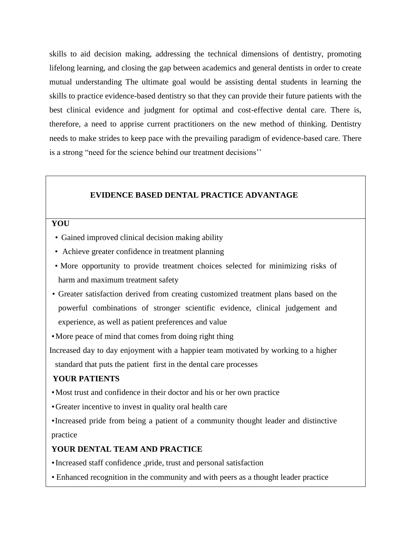skills to aid decision making, addressing the technical dimensions of dentistry, promoting lifelong learning, and closing the gap between academics and general dentists in order to create mutual understanding The ultimate goal would be assisting dental students in learning the skills to practice evidence-based dentistry so that they can provide their future patients with the best clinical evidence and judgment for optimal and cost-effective dental care. There is, therefore, a need to apprise current practitioners on the new method of thinking. Dentistry needs to make strides to keep pace with the prevailing paradigm of evidence-based care. There is a strong "need for the science behind our treatment decisions"

# **EVIDENCE BASED DENTAL PRACTICE ADVANTAGE**

#### **YOU**

- Gained improved clinical decision making ability
- Achieve greater confidence in treatment planning
- More opportunity to provide treatment choices selected for minimizing risks of harm and maximum treatment safety
- Greater satisfaction derived from creating customized treatment plans based on the powerful combinations of stronger scientific evidence, clinical judgement and experience, as well as patient preferences and value
- •More peace of mind that comes from doing right thing

• Increased day to day enjoyment with a happier team motivated by working to a higher

standard that puts the patient first in the dental care processes

# **YOUR PATIENTS**

•Most trust and confidence in their doctor and his or her own practice

- •Greater incentive to invest in quality oral health care
- •Increased pride from being a patient of a community thought leader and distinctive practice

# **YOUR DENTAL TEAM AND PRACTICE**

•Increased staff confidence ,pride, trust and personal satisfaction

• Enhanced recognition in the community and with peers as a thought leader practice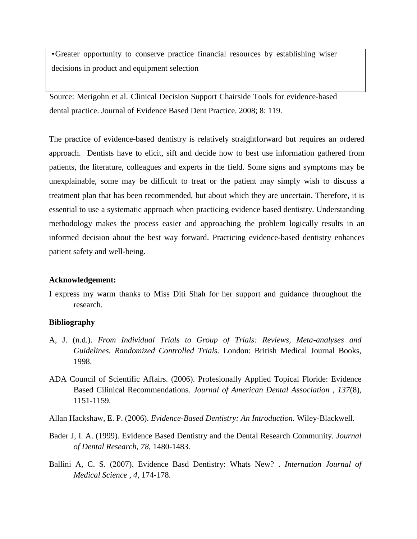•Greater opportunity to conserve practice financial resources by establishing wiser decisions in product and equipment selection

Source: Merigohn et al. Clinical Decision Support Chairside Tools for evidence-based dental practice. Journal of Evidence Based Dent Practice. 2008; 8: 119.

The practice of evidence-based dentistry is relatively straightforward but requires an ordered approach. Dentists have to elicit, sift and decide how to best use information gathered from patients, the literature, colleagues and experts in the field. Some signs and symptoms may be unexplainable, some may be difficult to treat or the patient may simply wish to discuss a treatment plan that has been recommended, but about which they are uncertain. Therefore, it is essential to use a systematic approach when practicing evidence based dentistry. Understanding methodology makes the process easier and approaching the problem logically results in an informed decision about the best way forward. Practicing evidence-based dentistry enhances patient safety and well-being.

#### **Acknowledgement:**

I express my warm thanks to Miss Diti Shah for her support and guidance throughout the research.

#### **Bibliography**

- A, J. (n.d.). *From Individual Trials to Group of Trials: Reviews, Meta-analyses and Guidelines. Randomized Controlled Trials.* London: British Medical Journal Books, 1998.
- ADA Council of Scientific Affairs. (2006). Profesionally Applied Topical Floride: Evidence Based Cilinical Recommendations. *Journal of American Dental Association , 137*(8), 1151-1159.

Allan Hackshaw, E. P. (2006). *Evidence-Based Dentistry: An Introduction.* Wiley-Blackwell.

- Bader J, I. A. (1999). Evidence Based Dentistry and the Dental Research Community. *Journal of Dental Research, 78*, 1480-1483.
- Ballini A, C. S. (2007). Evidence Basd Dentistry: Whats New? . *Internation Journal of Medical Science , 4*, 174-178.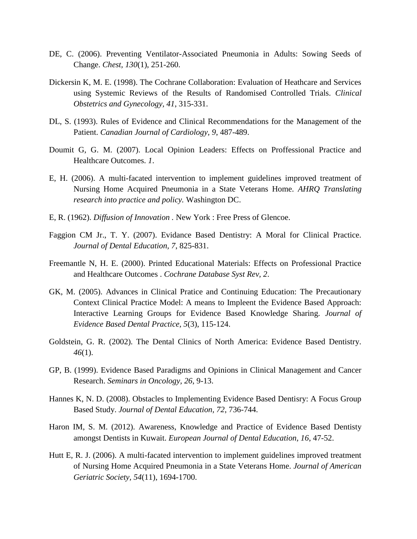- DE, C. (2006). Preventing Ventilator-Associated Pneumonia in Adults: Sowing Seeds of Change. *Chest, 130*(1), 251-260.
- Dickersin K, M. E. (1998). The Cochrane Collaboration: Evaluation of Heathcare and Services using Systemic Reviews of the Results of Randomised Controlled Trials. *Clinical Obstetrics and Gynecology, 41*, 315-331.
- DL, S. (1993). Rules of Evidence and Clinical Recommendations for the Management of the Patient. *Canadian Journal of Cardiology, 9*, 487-489.
- Doumit G, G. M. (2007). Local Opinion Leaders: Effects on Proffessional Practice and Healthcare Outcomes. *1*.
- E, H. (2006). A multi-facated intervention to implement guidelines improved treatment of Nursing Home Acquired Pneumonia in a State Veterans Home. *AHRQ Translating research into practice and policy.* Washington DC.
- E, R. (1962). *Diffusion of Innovation .* New York : Free Press of Glencoe.
- Faggion CM Jr., T. Y. (2007). Evidance Based Dentistry: A Moral for Clinical Practice. *Journal of Dental Education, 7*, 825-831.
- Freemantle N, H. E. (2000). Printed Educational Materials: Effects on Professional Practice and Healthcare Outcomes . *Cochrane Database Syst Rev, 2*.
- GK, M. (2005). Advances in Clinical Pratice and Continuing Education: The Precautionary Context Clinical Practice Model: A means to Impleent the Evidence Based Approach: Interactive Learning Groups for Evidence Based Knowledge Sharing. *Journal of Evidence Based Dental Practice, 5*(3), 115-124.
- Goldstein, G. R. (2002). The Dental Clinics of North America: Evidence Based Dentistry. *46*(1).
- GP, B. (1999). Evidence Based Paradigms and Opinions in Clinical Management and Cancer Research. *Seminars in Oncology, 26*, 9-13.
- Hannes K, N. D. (2008). Obstacles to Implementing Evidence Based Dentisry: A Focus Group Based Study. *Journal of Dental Education, 72*, 736-744.
- Haron IM, S. M. (2012). Awareness, Knowledge and Practice of Evidence Based Dentisty amongst Dentists in Kuwait. *European Journal of Dental Education, 16*, 47-52.
- Hutt E, R. J. (2006). A multi-facated intervention to implement guidelines improved treatment of Nursing Home Acquired Pneumonia in a State Veterans Home. *Journal of American Geriatric Society, 54*(11), 1694-1700.